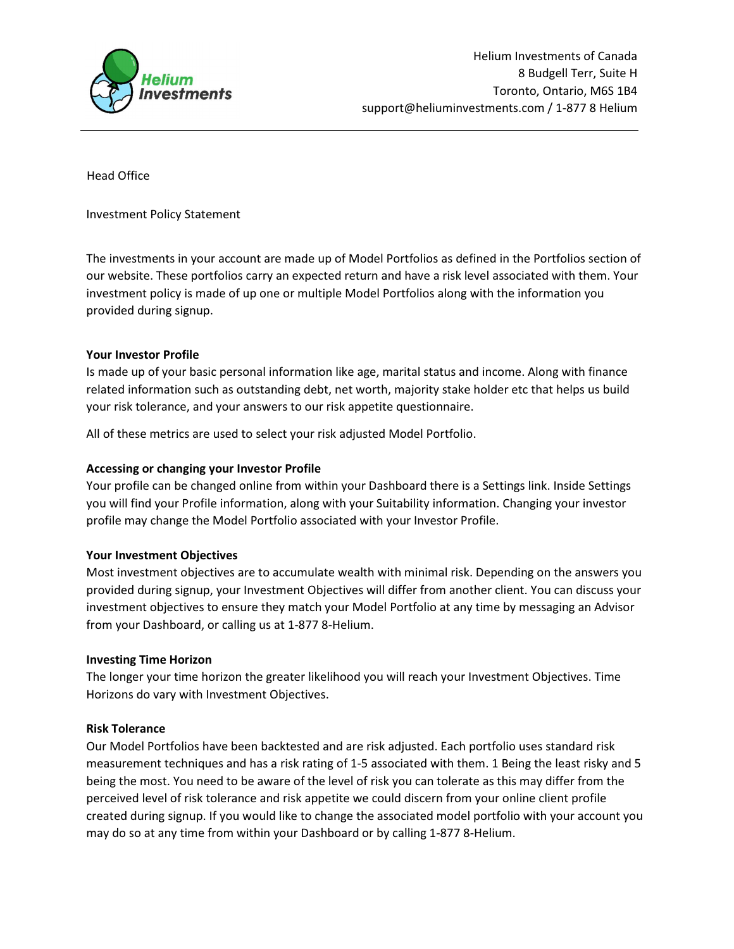

Head Office

Investment Policy Statement

The investments in your account are made up of Model Portfolios as defined in the Portfolios section of our website. These portfolios carry an expected return and have a risk level associated with them. Your investment policy is made of up one or multiple Model Portfolios along with the information you provided during signup.

## Your Investor Profile

Is made up of your basic personal information like age, marital status and income. Along with finance related information such as outstanding debt, net worth, majority stake holder etc that helps us build your risk tolerance, and your answers to our risk appetite questionnaire.

All of these metrics are used to select your risk adjusted Model Portfolio.

# Accessing or changing your Investor Profile

Your profile can be changed online from within your Dashboard there is a Settings link. Inside Settings you will find your Profile information, along with your Suitability information. Changing your investor profile may change the Model Portfolio associated with your Investor Profile.

## Your Investment Objectives

Most investment objectives are to accumulate wealth with minimal risk. Depending on the answers you provided during signup, your Investment Objectives will differ from another client. You can discuss your investment objectives to ensure they match your Model Portfolio at any time by messaging an Advisor from your Dashboard, or calling us at 1-877 8-Helium.

## Investing Time Horizon

The longer your time horizon the greater likelihood you will reach your Investment Objectives. Time Horizons do vary with Investment Objectives.

## Risk Tolerance

Our Model Portfolios have been backtested and are risk adjusted. Each portfolio uses standard risk measurement techniques and has a risk rating of 1-5 associated with them. 1 Being the least risky and 5 being the most. You need to be aware of the level of risk you can tolerate as this may differ from the perceived level of risk tolerance and risk appetite we could discern from your online client profile created during signup. If you would like to change the associated model portfolio with your account you may do so at any time from within your Dashboard or by calling 1-877 8-Helium.